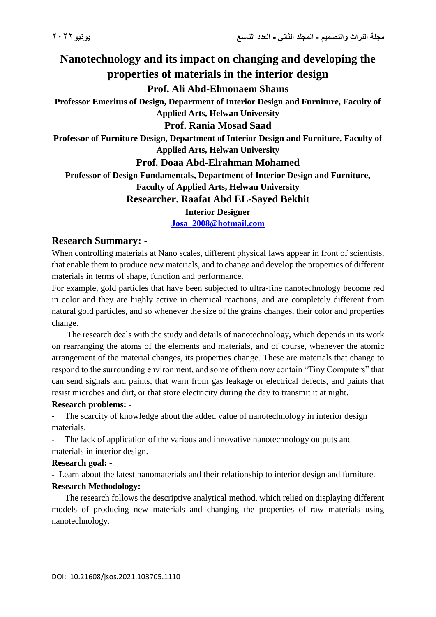## **Nanotechnology and its impact on changing and developing the properties of materials in the interior design Prof. Ali Abd-Elmonaem Shams Professor Emeritus of Design, Department of Interior Design and Furniture, Faculty of Applied Arts, Helwan University Prof. Rania Mosad Saad Professor of Furniture Design, Department of Interior Design and Furniture, Faculty of Applied Arts, Helwan University Prof. Doaa Abd-Elrahman Mohamed Professor of Design Fundamentals, Department of Interior Design and Furniture, Faculty of Applied Arts, Helwan University Researcher. Raafat Abd EL-Sayed Bekhit Interior Designer [Josa\\_2008@hotmail.com](mailto:Josa_2008@hotmail.com)**

# **Research Summary: -**

When controlling materials at Nano scales, different physical laws appear in front of scientists, that enable them to produce new materials, and to change and develop the properties of different materials in terms of shape, function and performance.

For example, gold particles that have been subjected to ultra-fine nanotechnology become red in color and they are highly active in chemical reactions, and are completely different from natural gold particles, and so whenever the size of the grains changes, their color and properties change.

 The research deals with the study and details of nanotechnology, which depends in its work on rearranging the atoms of the elements and materials, and of course, whenever the atomic arrangement of the material changes, its properties change. These are materials that change to respond to the surrounding environment, and some of them now contain "Tiny Computers" that can send signals and paints, that warn from gas leakage or electrical defects, and paints that resist microbes and dirt, or that store electricity during the day to transmit it at night.

#### **Research problems: -**

The scarcity of knowledge about the added value of nanotechnology in interior design materials.

The lack of application of the various and innovative nanotechnology outputs and materials in interior design.

#### **Research goal: -**

- Learn about the latest nanomaterials and their relationship to interior design and furniture.

#### **Research Methodology:**

 The research follows the descriptive analytical method, which relied on displaying different models of producing new materials and changing the properties of raw materials using nanotechnology.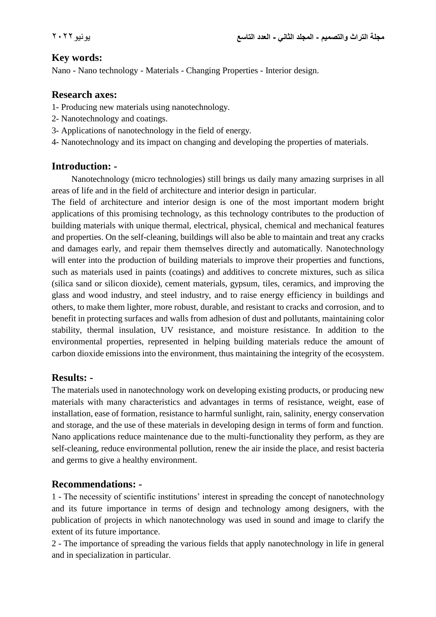#### **Key words:**

Nano - Nano technology - Materials - Changing Properties - Interior design.

#### **Research axes:**

- 1- Producing new materials using nanotechnology.
- 2- Nanotechnology and coatings.
- 3- Applications of nanotechnology in the field of energy.
- 4- Nanotechnology and its impact on changing and developing the properties of materials.

#### **Introduction: -**

 Nanotechnology (micro technologies) still brings us daily many amazing surprises in all areas of life and in the field of architecture and interior design in particular.

The field of architecture and interior design is one of the most important modern bright applications of this promising technology, as this technology contributes to the production of building materials with unique thermal, electrical, physical, chemical and mechanical features and properties. On the self-cleaning, buildings will also be able to maintain and treat any cracks and damages early, and repair them themselves directly and automatically. Nanotechnology will enter into the production of building materials to improve their properties and functions, such as materials used in paints (coatings) and additives to concrete mixtures, such as silica (silica sand or silicon dioxide), cement materials, gypsum, tiles, ceramics, and improving the glass and wood industry, and steel industry, and to raise energy efficiency in buildings and others, to make them lighter, more robust, durable, and resistant to cracks and corrosion, and to benefit in protecting surfaces and walls from adhesion of dust and pollutants, maintaining color stability, thermal insulation, UV resistance, and moisture resistance. In addition to the environmental properties, represented in helping building materials reduce the amount of carbon dioxide emissions into the environment, thus maintaining the integrity of the ecosystem.

## **Results: -**

The materials used in nanotechnology work on developing existing products, or producing new materials with many characteristics and advantages in terms of resistance, weight, ease of installation, ease of formation, resistance to harmful sunlight, rain, salinity, energy conservation and storage, and the use of these materials in developing design in terms of form and function. Nano applications reduce maintenance due to the multi-functionality they perform, as they are self-cleaning, reduce environmental pollution, renew the air inside the place, and resist bacteria and germs to give a healthy environment.

## **Recommendations: -**

1 - The necessity of scientific institutions' interest in spreading the concept of nanotechnology and its future importance in terms of design and technology among designers, with the publication of projects in which nanotechnology was used in sound and image to clarify the extent of its future importance.

2 - The importance of spreading the various fields that apply nanotechnology in life in general and in specialization in particular.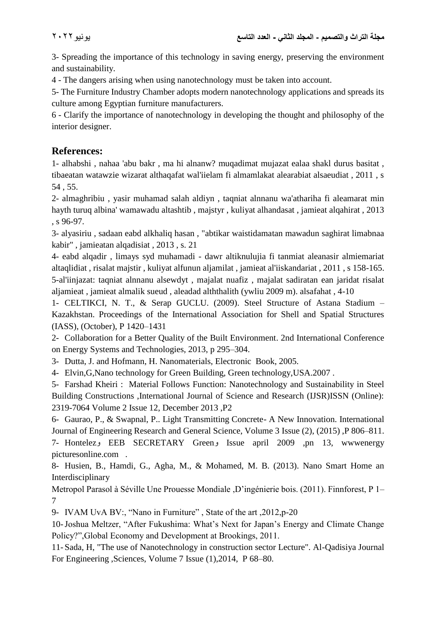3- Spreading the importance of this technology in saving energy, preserving the environment and sustainability.

4 - The dangers arising when using nanotechnology must be taken into account.

5- The Furniture Industry Chamber adopts modern nanotechnology applications and spreads its culture among Egyptian furniture manufacturers.

6 - Clarify the importance of nanotechnology in developing the thought and philosophy of the interior designer.

## **References:**

1- alhabshi , nahaa 'abu bakr , ma hi alnanw? muqadimat mujazat ealaa shakl durus basitat , tibaeatan watawzie wizarat althaqafat wal'iielam fi almamlakat alearabiat alsaeudiat , 2011 , s 54 , 55.

2- almaghribiu , yasir muhamad salah aldiyn , taqniat alnnanu wa'athariha fi aleamarat min hayth turuq albina' wamawadu altashtib , majstyr , kuliyat alhandasat , jamieat alqahirat , 2013 , s 96-97.

3- alyasiriu , sadaan eabd alkhaliq hasan , "abtikar waistidamatan mawadun saghirat limabnaa kabir" , jamieatan alqadisiat , 2013 , s. 21

4- eabd alqadir , limays syd muhamadi - dawr altiknulujia fi tanmiat aleanasir almiemariat altaqlidiat , risalat majstir , kuliyat alfunun aljamilat , jamieat al'iiskandariat , 2011 , s 158-165. 5-al'iinjazat: taqniat alnnanu alsewdyt , majalat nuafiz , majalat sadiratan ean jaridat risalat aljamieat , jamieat almalik sueud , aleadad alththalith (ywliu 2009 m). alsafahat , 4-10

1- CELTIKCI, N. T., & Serap GUCLU. (2009). Steel Structure of Astana Stadium – Kazakhstan. Proceedings of the International Association for Shell and Spatial Structures (IASS), (October), P 1420–1431

2- Collaboration for a Better Quality of the Built Environment. 2nd International Conference on Energy Systems and Technologies, 2013, p 295–304.

3- Dutta, J. and Hofmann, H. Nanomaterials, Electronic Book, 2005.

4- Elvin,G,Nano technology for Green Building, Green technology,USA.2007 .

5- Farshad Kheiri : Material Follows Function: Nanotechnology and Sustainability in Steel Building Constructions ,International Journal of Science and Research (IJSR)ISSN (Online): 2319-7064 Volume 2 Issue 12, December 2013 ,P2

6- Gaurao, P., & Swapnal, P.. Light Transmitting Concrete- A New Innovation. International Journal of Engineering Research and General Science, Volume 3 Issue (2), (2015) ,P 806–811.

7- Hontelez<sub>2</sub> EEB SECRETARY Green<sub>2</sub> Issue april 2009 ,pn 13, wwwenergy picturesonline.com .

8- Husien, B., Hamdi, G., Agha, M., & Mohamed, M. B. (2013). Nano Smart Home an Interdisciplinary

Metropol Parasol à Séville Une Prouesse Mondiale ,D'ingénierie bois. (2011). Finnforest, P 1– 7

9- IVAM UvA BV:, "Nano in Furniture" , State of the art ,2012,p-20

10-Joshua Meltzer, "After Fukushima: What's Next for Japan's Energy and Climate Change Policy?",Global Economy and Development at Brookings, 2011.

11- Sada, H, "The use of Nanotechnology in construction sector Lecture". Al-Qadisiya Journal For Engineering ,Sciences, Volume 7 Issue (1),2014, P 68–80.